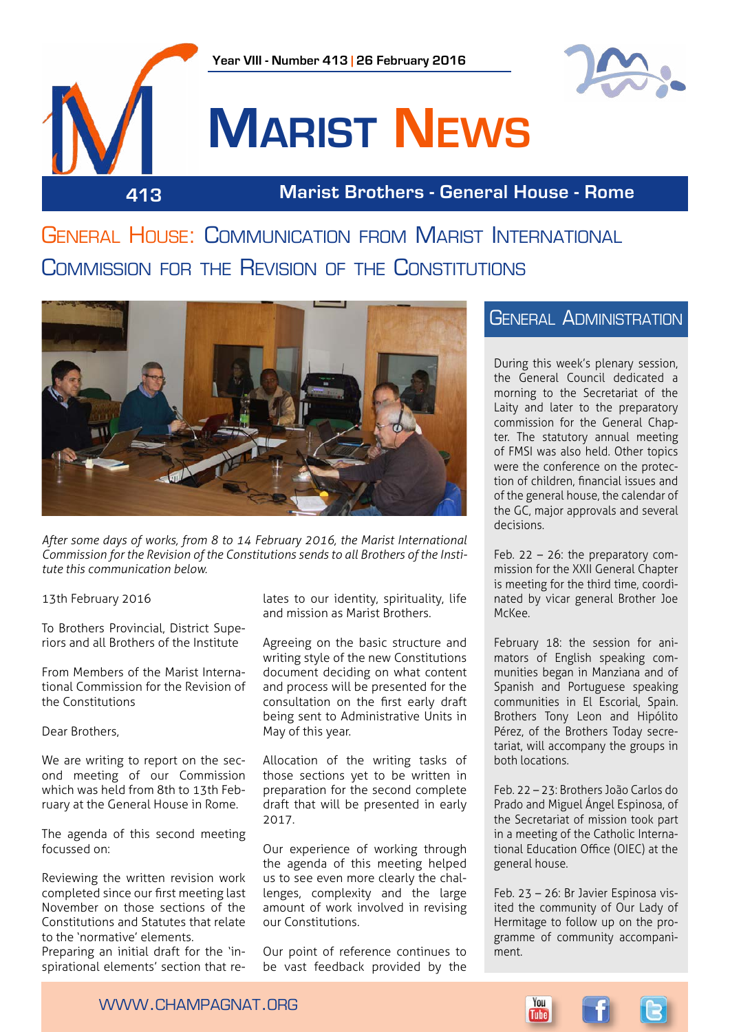

# **Marist News**

**413 Marist Brothers - General House - Rome**

General House: Communication from Marist International Commission for the Revision of the Constitutions



*After some days of works, from 8 to 14 February 2016, the Marist International Commission for the Revision of the Constitutions sends to all Brothers of the Institute this communication below.*

13th February 2016

To Brothers Provincial, District Superiors and all Brothers of the Institute

From Members of the Marist International Commission for the Revision of the Constitutions

Dear Brothers,

We are writing to report on the second meeting of our Commission which was held from 8th to 13th February at the General House in Rome.

The agenda of this second meeting focussed on:

Reviewing the written revision work completed since our first meeting last November on those sections of the Constitutions and Statutes that relate to the 'normative' elements.

Preparing an initial draft for the 'inspirational elements' section that relates to our identity, spirituality, life and mission as Marist Brothers.

Agreeing on the basic structure and writing style of the new Constitutions document deciding on what content and process will be presented for the consultation on the first early draft being sent to Administrative Units in May of this year.

Allocation of the writing tasks of those sections yet to be written in preparation for the second complete draft that will be presented in early 2017.

Our experience of working through the agenda of this meeting helped us to see even more clearly the challenges, complexity and the large amount of work involved in revising our Constitutions.

Our point of reference continues to be vast feedback provided by the

### General Administration

During this week's plenary session, the General Council dedicated a morning to the Secretariat of the Laity and later to the preparatory commission for the General Chapter. The statutory annual meeting of FMSI was also held. Other topics were the conference on the protection of children, financial issues and of the general house, the calendar of the GC, major approvals and several decisions.

Feb. 22 – 26: the preparatory commission for the XXII General Chapter is meeting for the third time, coordinated by vicar general Brother Joe McKee.

February 18: the session for animators of English speaking communities began in Manziana and of Spanish and Portuguese speaking communities in El Escorial, Spain. Brothers Tony Leon and Hipólito Pérez, of the Brothers Today secretariat, will accompany the groups in both locations.

Feb. 22 – 23: Brothers João Carlos do Prado and Miguel Ángel Espinosa, of the Secretariat of mission took part in a meeting of the Catholic International Education Office (OIEC) at the general house.

Feb. 23 – 26: Br Javier Espinosa visited the community of Our Lady of Hermitage to follow up on the programme of community accompaniment.

www.champagnat.org

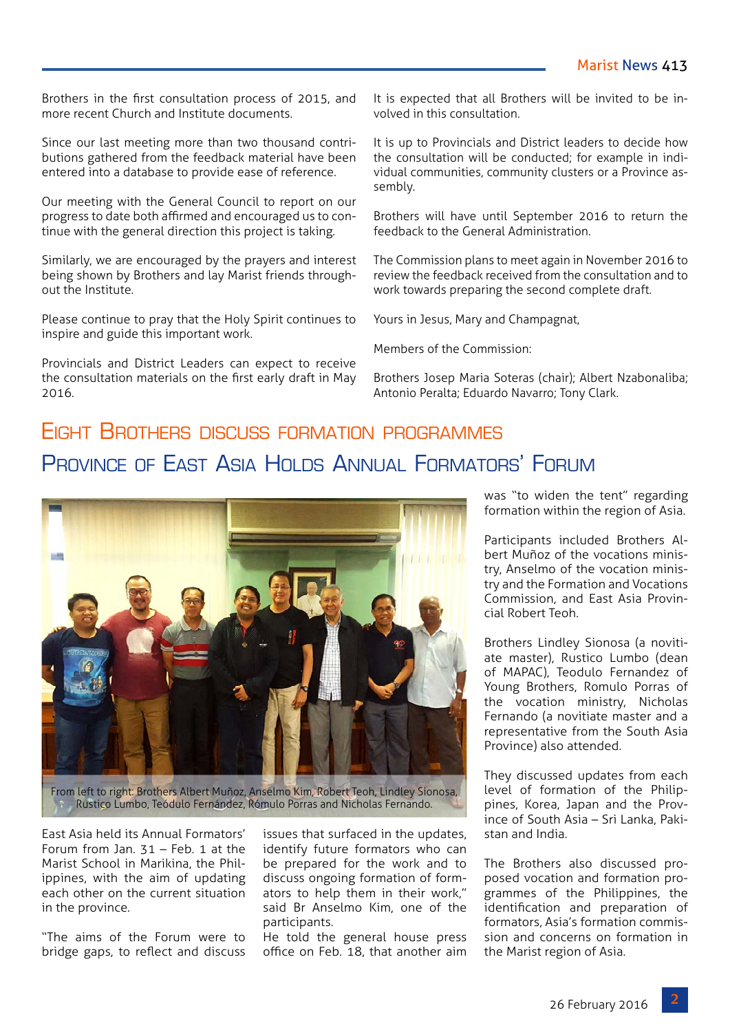Brothers in the first consultation process of 2015, and more recent Church and Institute documents.

Since our last meeting more than two thousand contributions gathered from the feedback material have been entered into a database to provide ease of reference.

Our meeting with the General Council to report on our progress to date both affirmed and encouraged us to continue with the general direction this project is taking.

Similarly, we are encouraged by the prayers and interest being shown by Brothers and lay Marist friends throughout the Institute.

Please continue to pray that the Holy Spirit continues to inspire and guide this important work.

Provincials and District Leaders can expect to receive the consultation materials on the first early draft in May 2016.

It is expected that all Brothers will be invited to be involved in this consultation.

It is up to Provincials and District leaders to decide how the consultation will be conducted; for example in individual communities, community clusters or a Province assembly.

Brothers will have until September 2016 to return the feedback to the General Administration.

The Commission plans to meet again in November 2016 to review the feedback received from the consultation and to work towards preparing the second complete draft.

Yours in Jesus, Mary and Champagnat,

Members of the Commission:

Brothers Josep Maria Soteras (chair); Albert Nzabonaliba; Antonio Peralta; Eduardo Navarro; Tony Clark.

# Eight Brothers discuss formation programmes PROVINCE OF FAST ASIA HOLDS ANNUAL FORMATORS' FORUM



From left to right: Brothers Albert Muñoz, Anselmo Kim, Robert Teoh, Lindley Sionosa, Rustico Lumbo, Teódulo Fernández, Rómulo Porras and Nicholas Fernando.

East Asia held its Annual Formators' Forum from Jan. 31 – Feb. 1 at the Marist School in Marikina, the Philippines, with the aim of updating each other on the current situation in the province.

"The aims of the Forum were to bridge gaps, to reflect and discuss issues that surfaced in the updates, identify future formators who can be prepared for the work and to discuss ongoing formation of formators to help them in their work," said Br Anselmo Kim, one of the participants.

He told the general house press office on Feb. 18, that another aim was "to widen the tent" regarding formation within the region of Asia.

Participants included Brothers Albert Muñoz of the vocations ministry, Anselmo of the vocation ministry and the Formation and Vocations Commission, and East Asia Provincial Robert Teoh.

Brothers Lindley Sionosa (a novitiate master), Rustico Lumbo (dean of MAPAC), Teodulo Fernandez of Young Brothers, Romulo Porras of the vocation ministry, Nicholas Fernando (a novitiate master and a representative from the South Asia Province) also attended.

They discussed updates from each level of formation of the Philippines, Korea, Japan and the Province of South Asia – Sri Lanka, Pakistan and India.

The Brothers also discussed proposed vocation and formation programmes of the Philippines, the identification and preparation of formators, Asia's formation commission and concerns on formation in the Marist region of Asia.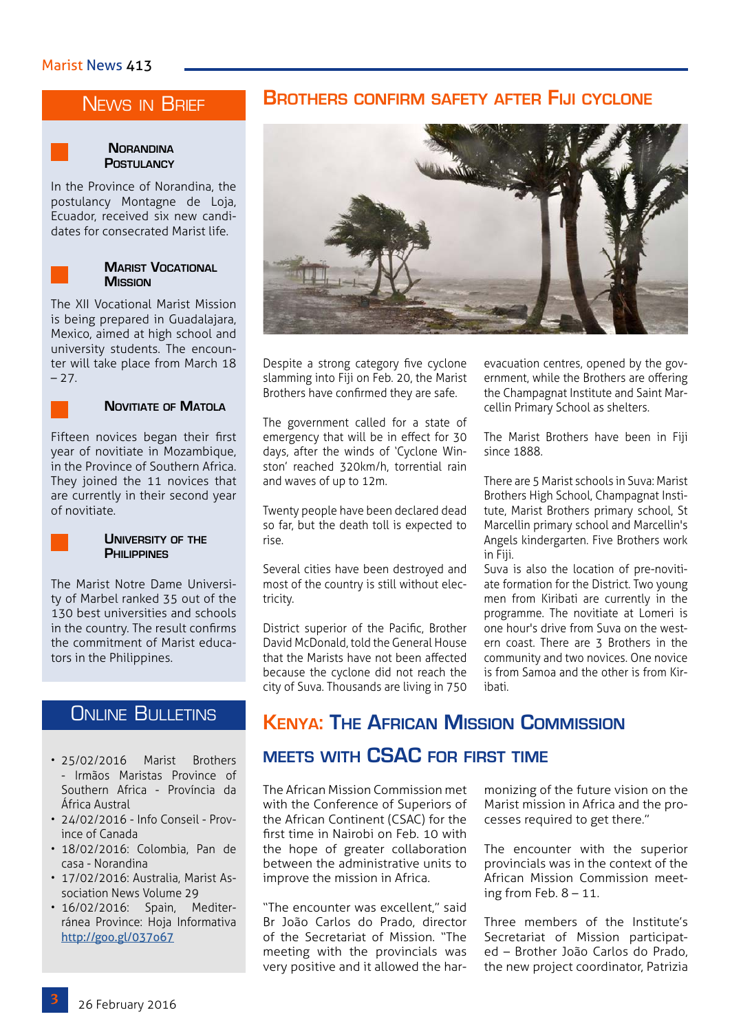#### Marist News 413

# News in Brief

#### **Norandina Postulancy**

In the Province of Norandina, the postulancy Montagne de Loja, Ecuador, received six new candidates for consecrated Marist life.



#### **Marist Vocational Mission**

The XII Vocational Marist Mission is being prepared in Guadalajara, Mexico, aimed at high school and university students. The encounter will take place from March 18  $-27.$ 



#### **Novitiate of Matola**

Fifteen novices began their first year of novitiate in Mozambique, in the Province of Southern Africa. They joined the 11 novices that are currently in their second year of novitiate.



#### **University of the Philippines**

The Marist Notre Dame University of Marbel ranked 35 out of the 130 best universities and schools in the country. The result confirms the commitment of Marist educators in the Philippines.

# **ONLINE BULLETINS**

- 25/02/2016 Marist Brothers - Irmãos Maristas Province of Southern Africa - Província da África Austral
- 24/02/2016 Info Conseil Province of Canada
- 18/02/2016: Colombia, Pan de casa - Norandina
- 17/02/2016: Australia, Marist Association News Volume 29
- 16/02/2016: Spain, Mediterránea Province: Hoja Informativa <http://goo.gl/037o67>

#### **Brothers confirm safety after Fiji cyclone**



Despite a strong category five cyclone slamming into Fiji on Feb. 20, the Marist Brothers have confirmed they are safe.

The government called for a state of emergency that will be in effect for 30 days, after the winds of 'Cyclone Winston' reached 320km/h, torrential rain and waves of up to 12m.

Twenty people have been declared dead so far, but the death toll is expected to rise.

Several cities have been destroyed and most of the country is still without electricity.

District superior of the Pacific, Brother David McDonald, told the General House that the Marists have not been affected because the cyclone did not reach the city of Suva. Thousands are living in 750

evacuation centres, opened by the government, while the Brothers are offering the Champagnat Institute and Saint Marcellin Primary School as shelters.

The Marist Brothers have been in Fiji since 1888.

There are 5 Marist schools in Suva: Marist Brothers High School, Champagnat Institute, Marist Brothers primary school, St Marcellin primary school and Marcellin's Angels kindergarten. Five Brothers work in Fiji.

Suva is also the location of pre-novitiate formation for the District. Two young men from Kiribati are currently in the programme. The novitiate at Lomeri is one hour's drive from Suva on the western coast. There are 3 Brothers in the community and two novices. One novice is from Samoa and the other is from Kiribati.

# **Kenya: The African Mission Commission**

#### **meets with CSAC for first time**

The African Mission Commission met with the Conference of Superiors of the African Continent (CSAC) for the first time in Nairobi on Feb. 10 with the hope of greater collaboration between the administrative units to improve the mission in Africa.

"The encounter was excellent," said Br João Carlos do Prado, director of the Secretariat of Mission. "The meeting with the provincials was very positive and it allowed the harmonizing of the future vision on the Marist mission in Africa and the processes required to get there."

The encounter with the superior provincials was in the context of the African Mission Commission meeting from Feb.  $8 - 11$ .

Three members of the Institute's Secretariat of Mission participated – Brother João Carlos do Prado, the new project coordinator, Patrizia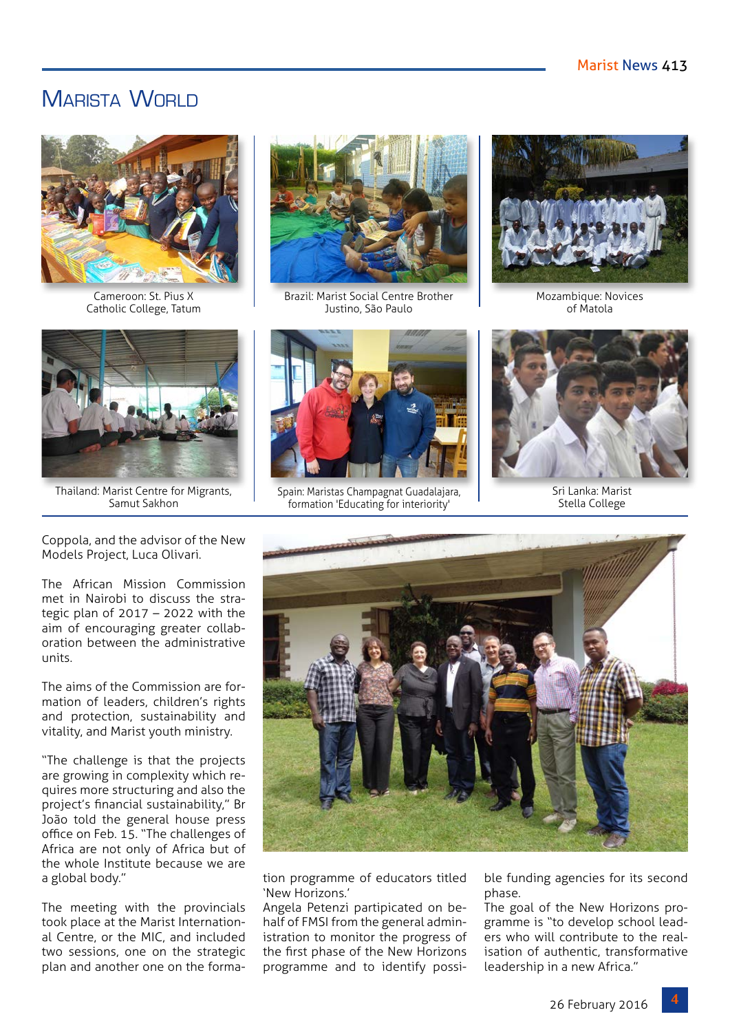# MARISTA WORLD



Cameroon: St. Pius X Catholic College, Tatum



Thailand: Marist Centre for Migrants, Samut Sakhon



Brazil: Marist Social Centre Brother Justino, São Paulo



Mozambique: Novices of Matola



Spain: Maristas Champagnat Guadalajara, formation 'Educating for interiority'



Sri Lanka: Marist Stella College

Coppola, and the advisor of the New Models Project, Luca Olivari.

The African Mission Commission met in Nairobi to discuss the strategic plan of  $2017 - 2022$  with the aim of encouraging greater collaboration between the administrative units.

The aims of the Commission are formation of leaders, children's rights and protection, sustainability and vitality, and Marist youth ministry.

"The challenge is that the projects are growing in complexity which requires more structuring and also the project's financial sustainability," Br João told the general house press office on Feb. 15. "The challenges of Africa are not only of Africa but of the whole Institute because we are a global body."

The meeting with the provincials took place at the Marist International Centre, or the MIC, and included two sessions, one on the strategic plan and another one on the forma-



tion programme of educators titled 'New Horizons.'

Angela Petenzi partipicated on behalf of FMSI from the general administration to monitor the progress of the first phase of the New Horizons programme and to identify possible funding agencies for its second phase.

The goal of the New Horizons programme is "to develop school leaders who will contribute to the realisation of authentic, transformative leadership in a new Africa."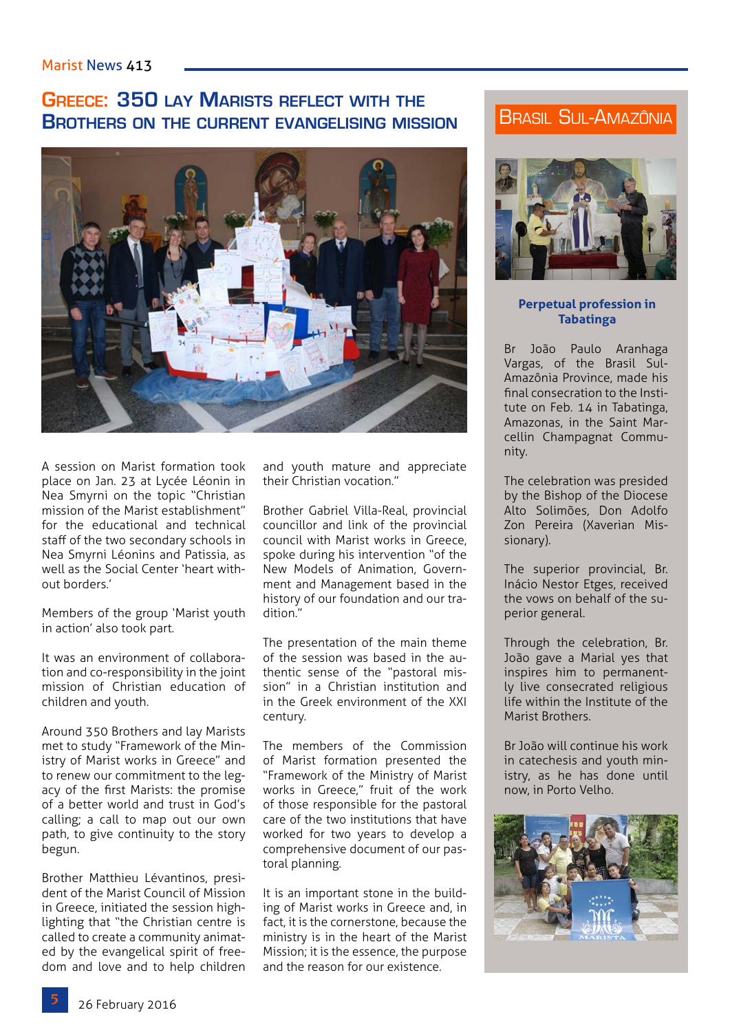#### Marist News 413

# **Greece: 350 lay Marists reflect with the Brothers on the current evangelising mission**



A session on Marist formation took place on Jan. 23 at Lycée Léonin in Nea Smyrni on the topic "Christian mission of the Marist establishment" for the educational and technical staff of the two secondary schools in Nea Smyrni Léonins and Patissia, as well as the Social Center 'heart without borders.'

Members of the group 'Marist youth in action' also took part.

It was an environment of collaboration and co-responsibility in the joint mission of Christian education of children and youth.

Around 350 Brothers and lay Marists met to study "Framework of the Ministry of Marist works in Greece" and to renew our commitment to the legacy of the first Marists: the promise of a better world and trust in God's calling; a call to map out our own path, to give continuity to the story begun.

Brother Matthieu Lévantinos, president of the Marist Council of Mission in Greece, initiated the session highlighting that "the Christian centre is called to create a community animated by the evangelical spirit of freedom and love and to help children and youth mature and appreciate their Christian vocation."

Brother Gabriel Villa-Real, provincial councillor and link of the provincial council with Marist works in Greece, spoke during his intervention "of the New Models of Animation, Government and Management based in the history of our foundation and our tradition."

The presentation of the main theme of the session was based in the authentic sense of the "pastoral mission" in a Christian institution and in the Greek environment of the XXI century.

The members of the Commission of Marist formation presented the "Framework of the Ministry of Marist works in Greece," fruit of the work of those responsible for the pastoral care of the two institutions that have worked for two years to develop a comprehensive document of our pastoral planning.

It is an important stone in the building of Marist works in Greece and, in fact, it is the cornerstone, because the ministry is in the heart of the Marist Mission; it is the essence, the purpose and the reason for our existence.

# Brasil Sul-Amazônia



#### **Perpetual profession in Tabatinga**

Br João Paulo Aranhaga Vargas, of the Brasil Sul-Amazônia Province, made his final consecration to the Institute on Feb. 14 in Tabatinga, Amazonas, in the Saint Marcellin Champagnat Community.

The celebration was presided by the Bishop of the Diocese Alto Solimões, Don Adolfo Zon Pereira (Xaverian Missionary).

The superior provincial, Br. Inácio Nestor Etges, received the vows on behalf of the superior general.

Through the celebration, Br. João gave a Marial yes that inspires him to permanently live consecrated religious life within the Institute of the Marist Brothers.

Br João will continue his work in catechesis and youth ministry, as he has done until now, in Porto Velho.